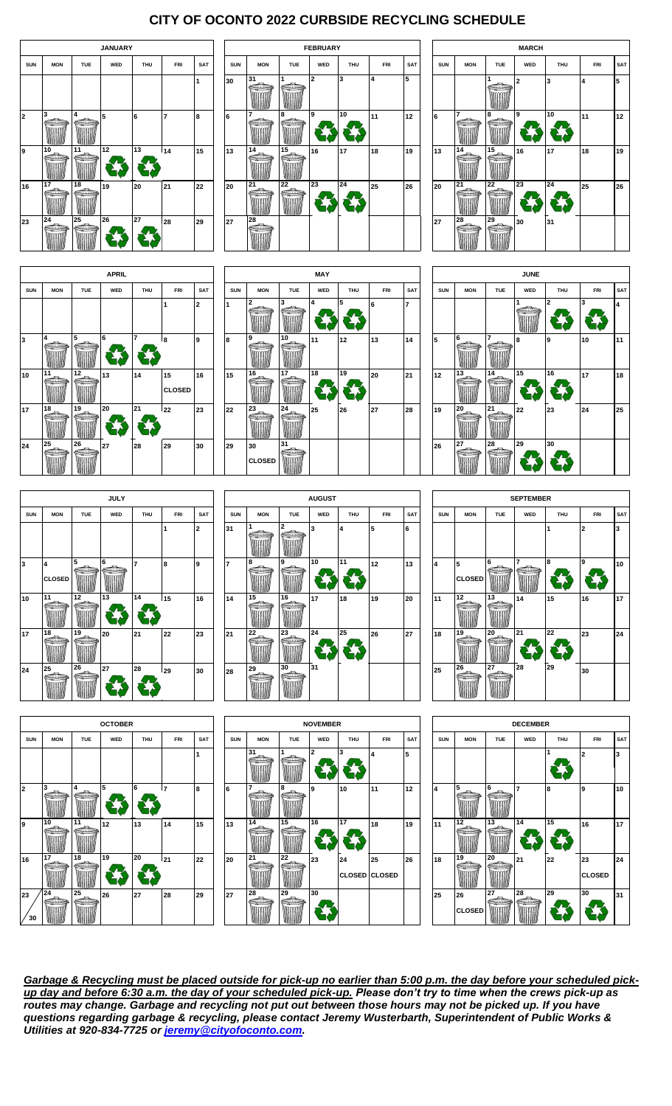# **CITY OF OCONTO 2022 CURBSIDE RECYCLING SCHEDULE**













|            |                                          |            | <b>JULY</b> |                |     |             |
|------------|------------------------------------------|------------|-------------|----------------|-----|-------------|
| <b>SUN</b> | <b>MON</b>                               | <b>TUE</b> | WED         | <b>THU</b>     | FRI | <b>SAT</b>  |
|            |                                          |            |             |                | 1   | $\mathbf 2$ |
| 3          | $\overline{\mathbf{4}}$<br><b>CLOSED</b> | 5          | 6           | $\overline{7}$ | 8   | 9           |
| 10         | 11                                       | 12         | 13          | 14             | 15  | 16          |
| 17         | 18                                       | 19         | 20          | 21             | 22  | 23          |
| 24         | 25                                       | 26         | 27          | 28             | 29  | 30          |



|                         |               |            | <b>SEPTEMBER</b> |            |            |            |
|-------------------------|---------------|------------|------------------|------------|------------|------------|
| <b>SUN</b>              | <b>MON</b>    | <b>TUE</b> | WED              | <b>THU</b> | <b>FRI</b> | <b>SAT</b> |
|                         |               |            |                  | 1          | 2          | 3          |
|                         |               |            |                  |            |            |            |
| $\overline{\mathbf{4}}$ | 5             | 6          | 7                | 8          | 9          | 10         |
|                         | <b>CLOSED</b> |            |                  |            |            |            |
| 11                      | 12            | 13         | 14               | 15         | 16         | 17         |
| 18                      | 19            | 20         | 21               | 22         | 23         | 24         |
| 25                      | 26            | 27         | 28               | 29         | 30         |            |







*Garbage & Recycling must be placed outside for pick-up no earlier than 5:00 p.m. the day before your scheduled pickup day and before 6:30 a.m. the day of your scheduled pick-up. Please don't try to time when the crews pick-up as routes may change. Garbage and recycling not put out between those hours may not be picked up. If you have questions regarding garbage & recycling, please contact Jeremy Wusterbarth, Superintendent of Public Works & Utilities at 920-834-7725 or [jeremy@cityofoconto.com.](mailto:jeremy@cityofoconto.com)*